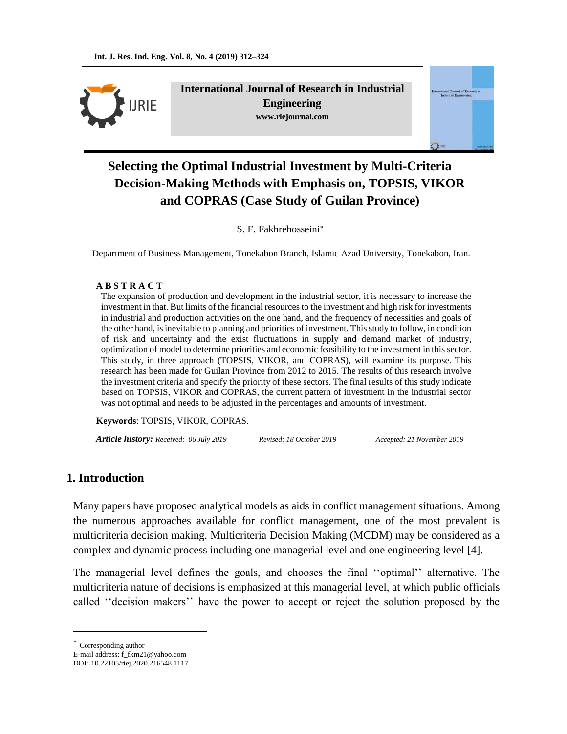

**International Journal of Research in Industrial Engineering www.riejournal.com**



# **Selecting the Optimal Industrial Investment by Multi-Criteria Decision-Making Methods with Emphasis on, TOPSIS, VIKOR and COPRAS (Case Study of Guilan Province)**

S. F. Fakhrehosseini

Department of Business Management, Tonekabon Branch, Islamic Azad University, Tonekabon, Iran.

#### **A B S T R A C T**

The expansion of production and development in the industrial sector, it is necessary to increase the investment in that. But limits of the financial resources to the investment and high risk for investments in industrial and production activities on the one hand, and the frequency of necessities and goals of the other hand, is inevitable to planning and priorities of investment. This study to follow, in condition of risk and uncertainty and the exist fluctuations in supply and demand market of industry, optimization of model to determine priorities and economic feasibility to the investment in this sector. This study, in three approach (TOPSIS, VIKOR, and COPRAS), will examine its purpose. This research has been made for Guilan Province from 2012 to 2015. The results of this research involve the investment criteria and specify the priority of these sectors. The final results of this study indicate based on TOPSIS, VIKOR and COPRAS, the current pattern of investment in the industrial sector was not optimal and needs to be adjusted in the percentages and amounts of investment.

**Keywords**: TOPSIS, VIKOR, COPRAS.

*Article history: Received: 06 July 2019 Revised: 18 October 2019 Accepted: 21 November 2019*

# **1. Introduction**

Many papers have proposed analytical models as aids in conflict management situations. Among the numerous approaches available for conflict management, one of the most prevalent is multicriteria decision making. Multicriteria Decision Making (MCDM) may be considered as a complex and dynamic process including one managerial level and one engineering level [4].

The managerial level defines the goals, and chooses the final ''optimal'' alternative. The multicriteria nature of decisions is emphasized at this managerial level, at which public officials called ''decision makers'' have the power to accept or reject the solution proposed by the

Corresponding author

 $\overline{a}$ 

E-mail address: f\_fkm21@yahoo.com DOI: 10.22105/riej.2020.216548.1117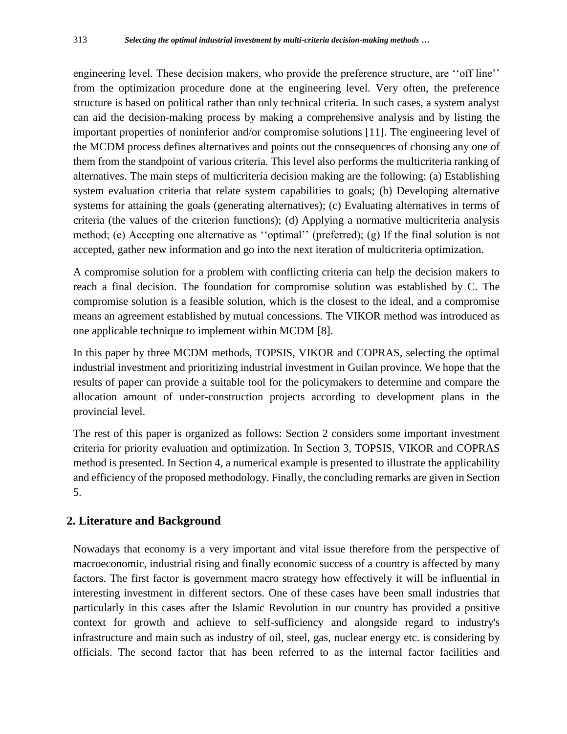engineering level. These decision makers, who provide the preference structure, are ''off line'' from the optimization procedure done at the engineering level. Very often, the preference structure is based on political rather than only technical criteria. In such cases, a system analyst can aid the decision-making process by making a comprehensive analysis and by listing the important properties of noninferior and/or compromise solutions [11]. The engineering level of the MCDM process defines alternatives and points out the consequences of choosing any one of them from the standpoint of various criteria. This level also performs the multicriteria ranking of alternatives. The main steps of multicriteria decision making are the following: (a) Establishing system evaluation criteria that relate system capabilities to goals; (b) Developing alternative systems for attaining the goals (generating alternatives); (c) Evaluating alternatives in terms of criteria (the values of the criterion functions); (d) Applying a normative multicriteria analysis method; (e) Accepting one alternative as ''optimal'' (preferred); (g) If the final solution is not accepted, gather new information and go into the next iteration of multicriteria optimization.

A compromise solution for a problem with conflicting criteria can help the decision makers to reach a final decision. The foundation for compromise solution was established by C. The compromise solution is a feasible solution, which is the closest to the ideal, and a compromise means an agreement established by mutual concessions. The VIKOR method was introduced as one applicable technique to implement within MCDM [8].

In this paper by three MCDM methods, TOPSIS, VIKOR and COPRAS, selecting the optimal industrial investment and prioritizing industrial investment in Guilan province. We hope that the results of paper can provide a suitable tool for the policymakers to determine and compare the allocation amount of under-construction projects according to development plans in the provincial level.

The rest of this paper is organized as follows: Section 2 considers some important investment criteria for priority evaluation and optimization. In Section 3, TOPSIS, VIKOR and COPRAS method is presented. In Section 4, a numerical example is presented to illustrate the applicability and efficiency of the proposed methodology. Finally, the concluding remarks are given in Section 5.

# **2. Literature and Background**

Nowadays that economy is a very important and vital issue therefore from the perspective of macroeconomic, industrial rising and finally economic success of a country is affected by many factors. The first factor is government macro strategy how effectively it will be influential in interesting investment in different sectors. One of these cases have been small industries that particularly in this cases after the Islamic Revolution in our country has provided a positive context for growth and achieve to self-sufficiency and alongside regard to industry's infrastructure and main such as industry of oil, steel, gas, nuclear energy etc. is considering by officials. The second factor that has been referred to as the internal factor facilities and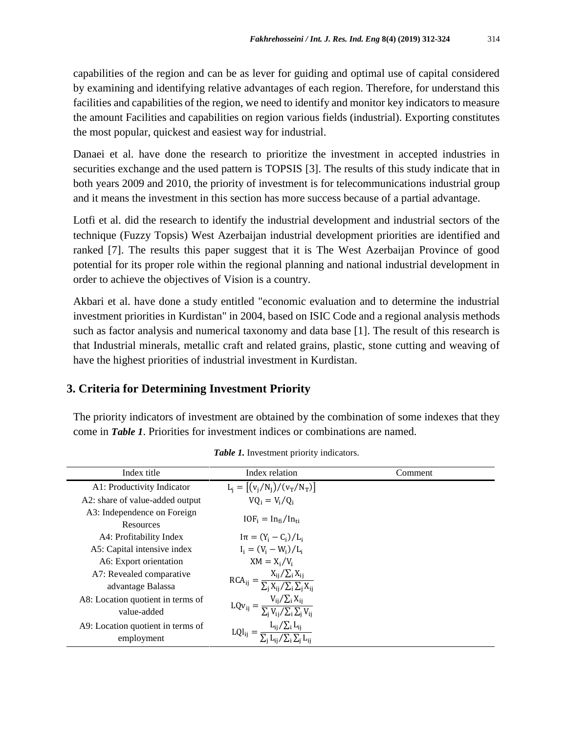capabilities of the region and can be as lever for guiding and optimal use of capital considered by examining and identifying relative advantages of each region. Therefore, for understand this facilities and capabilities of the region, we need to identify and monitor key indicators to measure the amount Facilities and capabilities on region various fields (industrial). Exporting constitutes the most popular, quickest and easiest way for industrial.

Danaei et al. have done the research to prioritize the investment in accepted industries in securities exchange and the used pattern is TOPSIS [3]. The results of this study indicate that in both years 2009 and 2010, the priority of investment is for telecommunications industrial group and it means the investment in this section has more success because of a partial advantage.

Lotfi et al. did the research to identify the industrial development and industrial sectors of the technique (Fuzzy Topsis) West Azerbaijan industrial development priorities are identified and ranked [7]. The results this paper suggest that it is The West Azerbaijan Province of good potential for its proper role within the regional planning and national industrial development in order to achieve the objectives of Vision is a country.

Akbari et al. have done a study entitled "economic evaluation and to determine the industrial investment priorities in Kurdistan" in 2004, based on ISIC Code and a regional analysis methods such as factor analysis and numerical taxonomy and data base [1]. The result of this research is that Industrial minerals, metallic craft and related grains, plastic, stone cutting and weaving of have the highest priorities of industrial investment in Kurdistan.

# **3. Criteria for Determining Investment Priority**

The priority indicators of investment are obtained by the combination of some indexes that they come in *Table 1*. Priorities for investment indices or combinations are named.

| Index title                                      | Index relation                       | Comment |
|--------------------------------------------------|--------------------------------------|---------|
| A1: Productivity Indicator                       | $L_i =  (v_i/N_I)/(v_T/N_T) $        |         |
| A2: share of value-added output                  | $VQ_i = V_i/Q_i$                     |         |
| A3: Independence on Foreign<br>Resources         | $IOF_i = In_{fi}/In_{ti}$            |         |
| A4: Profitability Index                          | $I_{\pi} = (Y_i - C_i)/L_i$          |         |
| A5: Capital intensive index                      | $I_i = (V_i - W_i)/L_i$              |         |
| A6: Export orientation                           | $XM = X_i/V_i$                       |         |
| A7: Revealed comparative<br>advantage Balassa    | $X_{ij}/\sum_i X_{ij}$<br>$RCA_{ii}$ |         |
| A8: Location quotient in terms of<br>value-added |                                      |         |
| A9: Location quotient in terms of<br>employment  | $L0l_{ii}$                           |         |

*Table 1.* Investment priority indicators.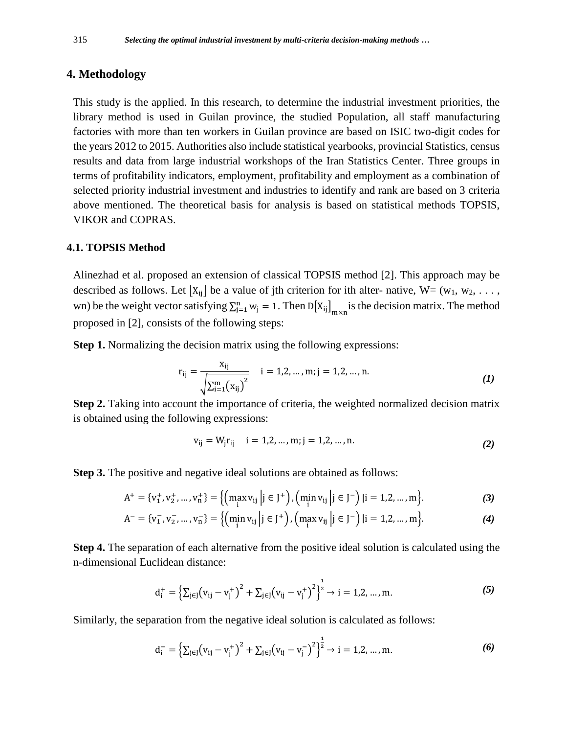# **4. Methodology**

This study is the applied. In this research, to determine the industrial investment priorities, the library method is used in Guilan province, the studied Population, all staff manufacturing factories with more than ten workers in Guilan province are based on ISIC two-digit codes for the years 2012 to 2015. Authorities also include statistical yearbooks, provincial Statistics, census results and data from large industrial workshops of the Iran Statistics Center. Three groups in terms of profitability indicators, employment, profitability and employment as a combination of selected priority industrial investment and industries to identify and rank are based on 3 criteria above mentioned. The theoretical basis for analysis is based on statistical methods TOPSIS, VIKOR and COPRAS.

## **4.1. TOPSIS Method**

Alinezhad et al. proposed an extension of classical TOPSIS method [2]. This approach may be described as follows. Let  $[X_{ii}]$  be a value of jth criterion for ith alter- native,  $W=(w_1, w_2, \ldots, w_n)$ wn) be the weight vector satisfying  $\sum_{j=1}^{n} w_j = 1$ . Then  $D[X_{ij}]_{m \times n}$  is the decision matrix. The method proposed in [2], consists of the following steps:

**Step 1.** Normalizing the decision matrix using the following expressions:

$$
r_{ij} = \frac{x_{ij}}{\sqrt{\sum_{i=1}^{m} (x_{ij})^2}} \quad i = 1, 2, ..., m; j = 1, 2, ..., n.
$$
 (1)

**Step 2.** Taking into account the importance of criteria, the weighted normalized decision matrix is obtained using the following expressions:

$$
v_{ij} = W_j r_{ij} \quad i = 1, 2, ..., m; j = 1, 2, ..., n.
$$
 (2)

**Step 3.** The positive and negative ideal solutions are obtained as follows:

$$
A^{+} = \{v_{1}^{+}, v_{2}^{+}, ..., v_{n}^{+}\} = \left\{ \left(\max_{i} v_{ij} \middle| j \in J^{+}\right), \left(\min_{i} v_{ij} \middle| j \in J^{-}\right) \middle| i = 1, 2, ..., m \right\}.
$$
 (3)

$$
A^{-} = \{v_{1}^{-}, v_{2}^{-}, ..., v_{n}^{-}\} = \left\{ \left(\min_{i} v_{ij} \middle| j \in J^{+}\right), \left(\max_{i} v_{ij} \middle| j \in J^{-}\right) \middle| i = 1, 2, ..., m \right\}.
$$
 (4)

**Step 4.** The separation of each alternative from the positive ideal solution is calculated using the n-dimensional Euclidean distance:

$$
d_i^+ = \left\{ \sum_{j \in J} (v_{ij} - v_j^+) ^2 + \sum_{j \in J} (v_{ij} - v_j^+) ^2 \right\}^{\frac{1}{2}} \to i = 1, 2, ..., m. \tag{5}
$$

Similarly, the separation from the negative ideal solution is calculated as follows:

$$
d_i^- = \left\{ \sum_{j \in J} (v_{ij} - v_j^+) ^2 + \sum_{j \in J} (v_{ij} - v_j^-) ^2 \right\}^{\frac{1}{2}} \to i = 1, 2, ..., m.
$$
 (6)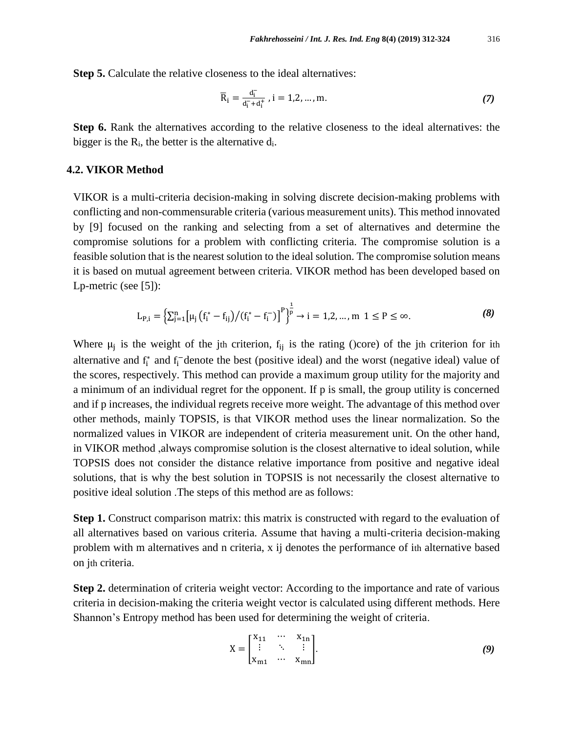**Step 5.** Calculate the relative closeness to the ideal alternatives:

$$
\overline{R}_{i} = \frac{d_{i}^{-}}{d_{i}^{-} + d_{i}^{+}}, i = 1, 2, ..., m.
$$
 (7)

**Step 6.** Rank the alternatives according to the relative closeness to the ideal alternatives: the bigger is the  $R_i$ , the better is the alternative  $d_i$ .

### **4.2. VIKOR Method**

VIKOR is a multi-criteria decision-making in solving discrete decision-making problems with conflicting and non-commensurable criteria (various measurement units). This method innovated by [9] focused on the ranking and selecting from a set of alternatives and determine the compromise solutions for a problem with conflicting criteria. The compromise solution is a feasible solution that is the nearest solution to the ideal solution. The compromise solution means it is based on mutual agreement between criteria. VIKOR method has been developed based on Lp-metric (see [5]):

$$
L_{P,i} = \left\{ \sum_{j=1}^{n} \left[ \mu_j \left( f_i^* - f_{ij} \right) / \left( f_i^* - f_i^- \right) \right]^P \right\}^{\frac{1}{p}} \to i = 1, 2, ..., m \ 1 \le P \le \infty. \tag{8}
$$

Where  $\mu_j$  is the weight of the jth criterion,  $f_{ij}$  is the rating ()core) of the jth criterion for ith alternative and  $f_i^*$  and  $f_i^-$  denote the best (positive ideal) and the worst (negative ideal) value of the scores, respectively. This method can provide a maximum group utility for the majority and a minimum of an individual regret for the opponent. If p is small, the group utility is concerned and if p increases, the individual regrets receive more weight. The advantage of this method over other methods, mainly TOPSIS, is that VIKOR method uses the linear normalization. So the normalized values in VIKOR are independent of criteria measurement unit. On the other hand, in VIKOR method ,always compromise solution is the closest alternative to ideal solution, while TOPSIS does not consider the distance relative importance from positive and negative ideal solutions, that is why the best solution in TOPSIS is not necessarily the closest alternative to positive ideal solution .The steps of this method are as follows:

**Step 1.** Construct comparison matrix: this matrix is constructed with regard to the evaluation of all alternatives based on various criteria. Assume that having a multi-criteria decision-making problem with m alternatives and n criteria, x ij denotes the performance of ith alternative based on jth criteria.

**Step 2.** determination of criteria weight vector: According to the importance and rate of various criteria in decision-making the criteria weight vector is calculated using different methods. Here Shannon's Entropy method has been used for determining the weight of criteria.

$$
X = \begin{bmatrix} X_{11} & \cdots & X_{1n} \\ \vdots & \ddots & \vdots \\ X_{m1} & \cdots & X_{mn} \end{bmatrix} .
$$
 (9)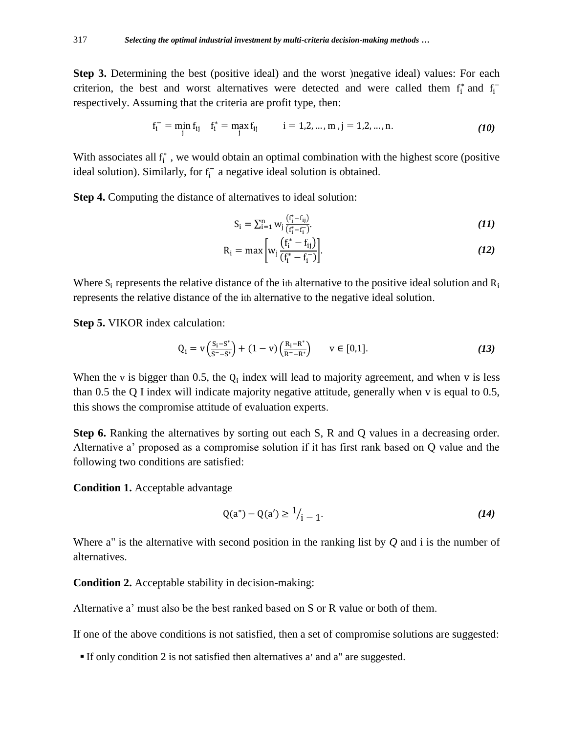**Step 3.** Determining the best (positive ideal) and the worst )negative ideal) values: For each criterion, the best and worst alternatives were detected and were called them  $f_i^*$  and  $f_i^$ respectively. Assuming that the criteria are profit type, then:

$$
f_{i}^{-} = \min_{j} f_{ij} \quad f_{i}^{*} = \max_{j} f_{ij} \qquad i = 1, 2, ..., m, j = 1, 2, ..., n. \qquad (10)
$$

With associates all  $f_i^*$ , we would obtain an optimal combination with the highest score (positive ideal solution). Similarly, for  $f_i^-$  a negative ideal solution is obtained.

**Step 4.** Computing the distance of alternatives to ideal solution:

$$
S_i = \sum_{i=1}^{n} w_j \frac{(f_i^* - f_{ij})}{(f_i^* - f_i)}.
$$
 (11)

$$
R_{i} = \max \bigg[ w_{j} \frac{\left(f_{i}^{*} - f_{ij}\right)}{\left(f_{i}^{*} - f_{i}^{-}\right)} \bigg].
$$
 (12)

Where  $S_i$  represents the relative distance of the ith alternative to the positive ideal solution and  $R_i$ represents the relative distance of the ith alternative to the negative ideal solution.

**Step 5.** VIKOR index calculation:

$$
Q_i = v\left(\frac{S_i - S^*}{S^- - S^*}\right) + (1 - v)\left(\frac{R_i - R^*}{R^- - R^*}\right) \qquad v \in [0, 1].
$$
\n(13)

When the v is bigger than 0.5, the  $Q_i$  index will lead to majority agreement, and when v is less than 0.5 the Q I index will indicate majority negative attitude, generally when v is equal to 0.5, this shows the compromise attitude of evaluation experts.

**Step 6.** Ranking the alternatives by sorting out each S, R and Q values in a decreasing order. Alternative a' proposed as a compromise solution if it has first rank based on Q value and the following two conditions are satisfied:

**Condition 1.** Acceptable advantage

$$
Q(a'') - Q(a') \ge \frac{1}{i - 1}.
$$
\n(14)

Where a" is the alternative with second position in the ranking list by *Q* and i is the number of alternatives.

**Condition 2.** Acceptable stability in decision-making:

Alternative a' must also be the best ranked based on S or R value or both of them.

If one of the above conditions is not satisfied, then a set of compromise solutions are suggested:

If only condition 2 is not satisfied then alternatives a׳ and a" are suggested.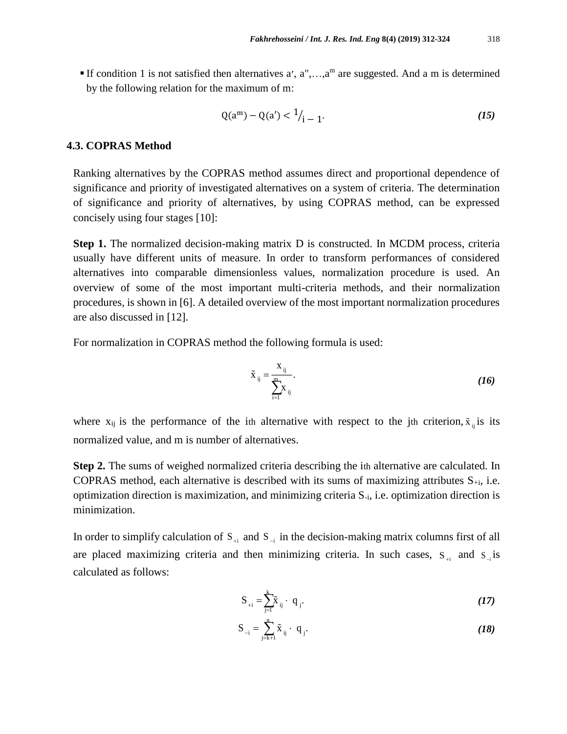If condition 1 is not satisfied then alternatives  $a'$ ,  $a''$ ,..., $a^m$  are suggested. And a m is determined by the following relation for the maximum of m:

$$
Q(a^{m}) - Q(a') < \frac{1}{i-1}.\tag{15}
$$

#### **4.3. COPRAS Method**

Ranking alternatives by the COPRAS method assumes direct and proportional dependence of significance and priority of investigated alternatives on a system of criteria. The determination of significance and priority of alternatives, by using COPRAS method, can be expressed concisely using four stages [10]:

**Step 1.** The normalized decision-making matrix D is constructed. In MCDM process, criteria usually have different units of measure. In order to transform performances of considered alternatives into comparable dimensionless values, normalization procedure is used. An overview of some of the most important multi-criteria methods, and their normalization procedures, is shown in [6]. A detailed overview of the most important normalization procedures are also discussed in [12].

For normalization in COPRAS method the following formula is used:

$$
\tilde{\mathbf{x}}_{ij} = \frac{\mathbf{x}_{ij}}{\sum_{i=1}^{m} \mathbf{x}_{ij}}.
$$
 (16)

where  $x_{ij}$  is the performance of the ith alternative with respect to the jth criterion,  $\tilde{x}_{ij}$  is its normalized value, and m is number of alternatives.

**Step 2.** The sums of weighed normalized criteria describing the ith alternative are calculated. In COPRAS method, each alternative is described with its sums of maximizing attributes  $S_{+i}$ , i.e. optimization direction is maximization, and minimizing criteria  $S_{-i}$ , i.e. optimization direction is minimization.

In order to simplify calculation of  $S_{+i}$  and  $S_{-i}$  in the decision-making matrix columns first of all are placed maximizing criteria and then minimizing criteria. In such cases,  $S_{+i}$  and  $S_{-i}$  is calculated as follows:

$$
S_{+i} = \sum_{j=1}^{k} \tilde{X}_{ij} \cdot q_j. \tag{17}
$$

$$
\mathbf{S}_{-i} = \sum_{j=k+1}^{n} \tilde{\mathbf{x}}_{ij} \cdot \mathbf{q}_{j}.
$$
 (18)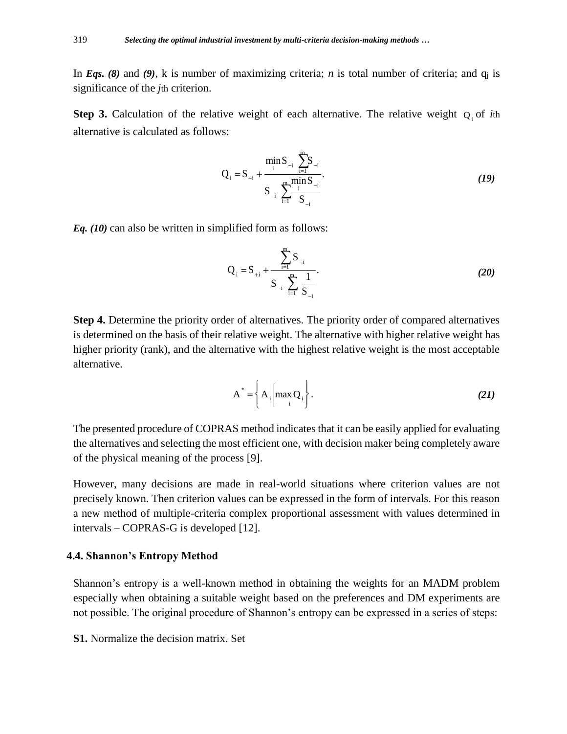In *Eqs.* (8) and (9), k is number of maximizing criteria; *n* is total number of criteria; and  $q_i$  is significance of the *j*th criterion.

**Step 3.** Calculation of the relative weight of each alternative. The relative weight  $Q_i$  of *i*th alternative is calculated as follows:

$$
Q_{i} = S_{+i} + \frac{\min_{i} S_{-i}}{S_{-i}} \frac{\sum_{i=1}^{m} S_{-i}}{S_{-i}}.
$$
\n(19)

*Eq. (10)* can also be written in simplified form as follows:

$$
Q_{i} = S_{+i} + \frac{\sum_{i=1}^{m} S_{-i}}{S_{-i} \sum_{i=1}^{m} \frac{1}{S_{-i}}}.
$$
 (20)

**Step 4.** Determine the priority order of alternatives. The priority order of compared alternatives is determined on the basis of their relative weight. The alternative with higher relative weight has higher priority (rank), and the alternative with the highest relative weight is the most acceptable alternative.

$$
A^* = \left\{ A_i \middle| \max_i Q_i \right\}.
$$
 (21)

The presented procedure of COPRAS method indicates that it can be easily applied for evaluating the alternatives and selecting the most efficient one, with decision maker being completely aware of the physical meaning of the process [9].

However, many decisions are made in real-world situations where criterion values are not precisely known. Then criterion values can be expressed in the form of intervals. For this reason a new method of multiple-criteria complex proportional assessment with values determined in intervals – COPRAS-G is developed [12].

#### **4.4. Shannon's Entropy Method**

Shannon's entropy is a well-known method in obtaining the weights for an MADM problem especially when obtaining a suitable weight based on the preferences and DM experiments are not possible. The original procedure of Shannon's entropy can be expressed in a series of steps:

**S1.** Normalize the decision matrix. Set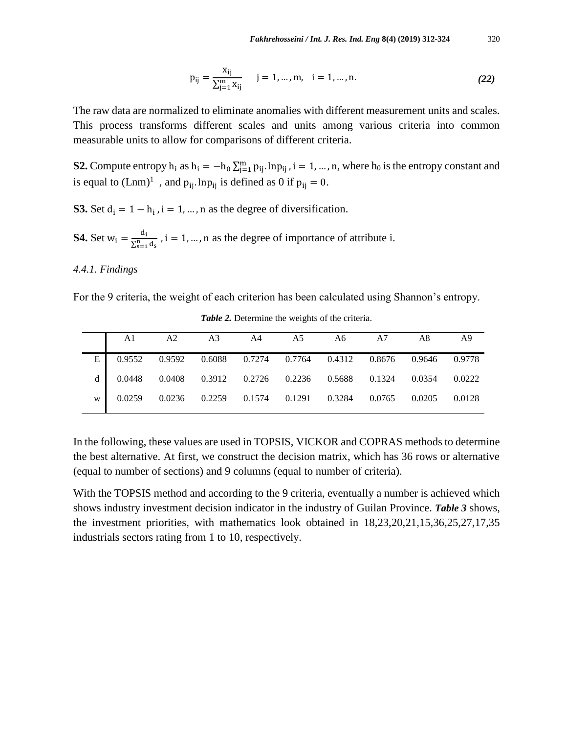$$
p_{ij} = \frac{x_{ij}}{\sum_{j=1}^{m} x_{ij}} \qquad j = 1, ..., m, \quad i = 1, ..., n.
$$
 (22)

The raw data are normalized to eliminate anomalies with different measurement units and scales. This process transforms different scales and units among various criteria into common measurable units to allow for comparisons of different criteria.

**S2.** Compute entropy  $h_i$  as  $h_i = -h_0 \sum_{j=1}^m p_{ij} \cdot \ln p_{ij}$ ,  $i = 1, ..., n$ , where  $h_0$  is the entropy constant and is equal to  $(Lnm)^1$ , and  $p_{ij}$ . ln $p_{ij}$  is defined as 0 if  $p_{ij} = 0$ .

**S3.** Set  $d_i = 1 - h_i$ ,  $i = 1, ..., n$  as the degree of diversification.

**S4.** Set  $w_i = \frac{d_i}{\Sigma^n}$  $\frac{u_i}{\sum_{s=1}^{n} d_s}$ , i = 1, ..., n as the degree of importance of attribute i.

# *4.4.1. Findings*

For the 9 criteria, the weight of each criterion has been calculated using Shannon's entropy.

|   | A1            | A2                   | A3            | A4 A5  | A6 A7                                  | A8     | A9     |
|---|---------------|----------------------|---------------|--------|----------------------------------------|--------|--------|
| E |               | 0.9552 0.9592 0.6088 |               |        | 0.7274  0.7764  0.4312  0.8676  0.9646 |        | 0.9778 |
|   | 0.0448 0.0408 |                      | 0.3912 0.2726 |        | 0.2236 0.5688 0.1324                   | 0.0354 | 0.0222 |
| W | 0.0259        | 0.0236               | 0.2259        | 0.1574 | 0.1291 0.3284 0.0765                   | 0.0205 | 0.0128 |
|   |               |                      |               |        |                                        |        |        |

*Table 2.* Determine the weights of the criteria.

In the following, these values are used in TOPSIS, VICKOR and COPRAS methods to determine the best alternative. At first, we construct the decision matrix, which has 36 rows or alternative (equal to number of sections) and 9 columns (equal to number of criteria).

With the TOPSIS method and according to the 9 criteria, eventually a number is achieved which shows industry investment decision indicator in the industry of Guilan Province. *Table 3* shows, the investment priorities, with mathematics look obtained in 18,23,20,21,15,36,25,27,17,35 industrials sectors rating from 1 to 10, respectively.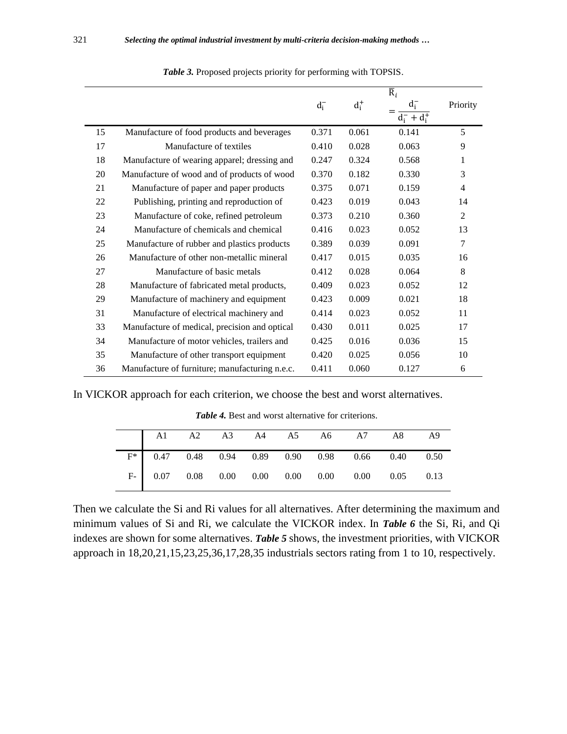|    |                                                | $d_i^-$ | $d_i^+$ | $d_i^-$                 | Priority       |
|----|------------------------------------------------|---------|---------|-------------------------|----------------|
|    |                                                |         |         | $d_{i}^{-} + d_{i}^{+}$ |                |
| 15 | Manufacture of food products and beverages     | 0.371   | 0.061   | 0.141                   | 5              |
| 17 | Manufacture of textiles                        | 0.410   | 0.028   | 0.063                   | 9              |
| 18 | Manufacture of wearing apparel; dressing and   | 0.247   | 0.324   | 0.568                   | 1              |
| 20 | Manufacture of wood and of products of wood    | 0.370   | 0.182   | 0.330                   | 3              |
| 21 | Manufacture of paper and paper products        | 0.375   | 0.071   | 0.159                   | $\overline{4}$ |
| 22 | Publishing, printing and reproduction of       | 0.423   | 0.019   | 0.043                   | 14             |
| 23 | Manufacture of coke, refined petroleum         | 0.373   | 0.210   | 0.360                   | 2              |
| 24 | Manufacture of chemicals and chemical          | 0.416   | 0.023   | 0.052                   | 13             |
| 25 | Manufacture of rubber and plastics products    | 0.389   | 0.039   | 0.091                   | $\overline{7}$ |
| 26 | Manufacture of other non-metallic mineral      | 0.417   | 0.015   | 0.035                   | 16             |
| 27 | Manufacture of basic metals                    | 0.412   | 0.028   | 0.064                   | 8              |
| 28 | Manufacture of fabricated metal products,      | 0.409   | 0.023   | 0.052                   | 12             |
| 29 | Manufacture of machinery and equipment         | 0.423   | 0.009   | 0.021                   | 18             |
| 31 | Manufacture of electrical machinery and        | 0.414   | 0.023   | 0.052                   | 11             |
| 33 | Manufacture of medical, precision and optical  | 0.430   | 0.011   | 0.025                   | 17             |
| 34 | Manufacture of motor vehicles, trailers and    | 0.425   | 0.016   | 0.036                   | 15             |
| 35 | Manufacture of other transport equipment       | 0.420   | 0.025   | 0.056                   | 10             |
| 36 | Manufacture of furniture; manufacturing n.e.c. | 0.411   | 0.060   | 0.127                   | 6              |

*Table 3.* Proposed projects priority for performing with TOPSIS.

In VICKOR approach for each criterion, we choose the best and worst alternatives.

*Table 4.* Best and worst alternative for criterions.

|  |  |  | A1 A2 A3 A4 A5 A6 A7 A8 A9                         |  |
|--|--|--|----------------------------------------------------|--|
|  |  |  | $F^*$ 0.47 0.48 0.94 0.89 0.90 0.98 0.66 0.40 0.50 |  |
|  |  |  | $F-$ 0.07 0.08 0.00 0.00 0.00 0.00 0.00 0.05 0.13  |  |

Then we calculate the Si and Ri values for all alternatives. After determining the maximum and minimum values of Si and Ri, we calculate the VICKOR index. In *Table 6* the Si, Ri, and Qi indexes are shown for some alternatives. *Table 5* shows, the investment priorities, with VICKOR approach in 18,20,21,15,23,25,36,17,28,35 industrials sectors rating from 1 to 10, respectively.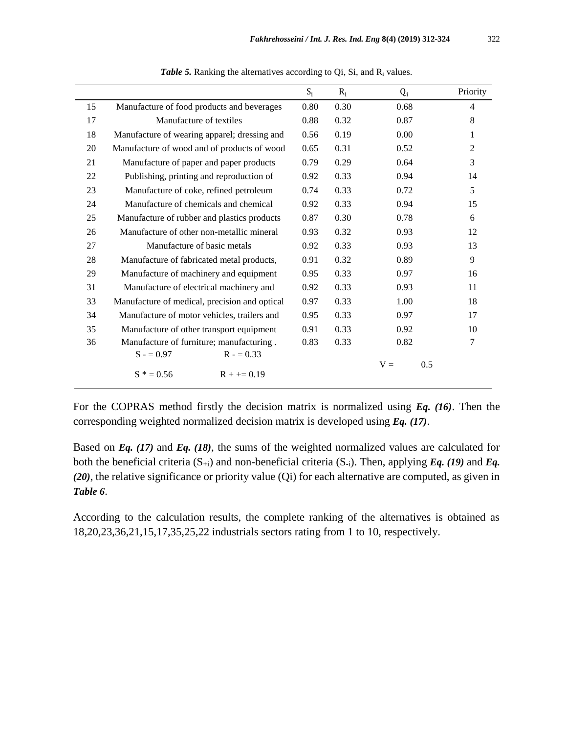|    |                                               | $S_i$ | $R_i$ | $Q_i$        | Priority       |
|----|-----------------------------------------------|-------|-------|--------------|----------------|
| 15 | Manufacture of food products and beverages    | 0.80  | 0.30  | 0.68         | $\overline{4}$ |
| 17 | Manufacture of textiles                       | 0.88  | 0.32  | 0.87         | 8              |
| 18 | Manufacture of wearing apparel; dressing and  | 0.56  | 0.19  | 0.00         | 1              |
| 20 | Manufacture of wood and of products of wood   | 0.65  | 0.31  | 0.52         | $\overline{2}$ |
| 21 | Manufacture of paper and paper products       | 0.79  | 0.29  | 0.64         | 3              |
| 22 | Publishing, printing and reproduction of      | 0.92  | 0.33  | 0.94         | 14             |
| 23 | Manufacture of coke, refined petroleum        | 0.74  | 0.33  | 0.72         | 5              |
| 24 | Manufacture of chemicals and chemical         | 0.92  | 0.33  | 0.94         | 15             |
| 25 | Manufacture of rubber and plastics products   | 0.87  | 0.30  | 0.78         | 6              |
| 26 | Manufacture of other non-metallic mineral     | 0.93  | 0.32  | 0.93         | 12             |
| 27 | Manufacture of basic metals                   | 0.92  | 0.33  | 0.93         | 13             |
| 28 | Manufacture of fabricated metal products,     | 0.91  | 0.32  | 0.89         | 9              |
| 29 | Manufacture of machinery and equipment        | 0.95  | 0.33  | 0.97         | 16             |
| 31 | Manufacture of electrical machinery and       | 0.92  | 0.33  | 0.93         | 11             |
| 33 | Manufacture of medical, precision and optical | 0.97  | 0.33  | 1.00         | 18             |
| 34 | Manufacture of motor vehicles, trailers and   | 0.95  | 0.33  | 0.97         | 17             |
| 35 | Manufacture of other transport equipment      | 0.91  | 0.33  | 0.92         | 10             |
| 36 | Manufacture of furniture; manufacturing.      | 0.83  | 0.33  | 0.82         | 7              |
|    | $S - 0.97$<br>$R = 0.33$                      |       |       |              |                |
|    | $S^* = 0.56$<br>$R + 0.19$                    |       |       | $V =$<br>0.5 |                |

**Table 5.** Ranking the alternatives according to Qi, Si, and R<sub>i</sub> values.

For the COPRAS method firstly the decision matrix is normalized using *Eq. (16)*. Then the corresponding weighted normalized decision matrix is developed using *Eq. (17)*.

Based on *Eq. (17)* and *Eq. (18)*, the sums of the weighted normalized values are calculated for both the beneficial criteria (S+i) and non-beneficial criteria (S-i). Then, applying *Eq. (19)* and *Eq. (20)*, the relative significance or priority value (Qi) for each alternative are computed, as given in *Table 6*.

According to the calculation results, the complete ranking of the alternatives is obtained as 18,20,23,36,21,15,17,35,25,22 industrials sectors rating from 1 to 10, respectively.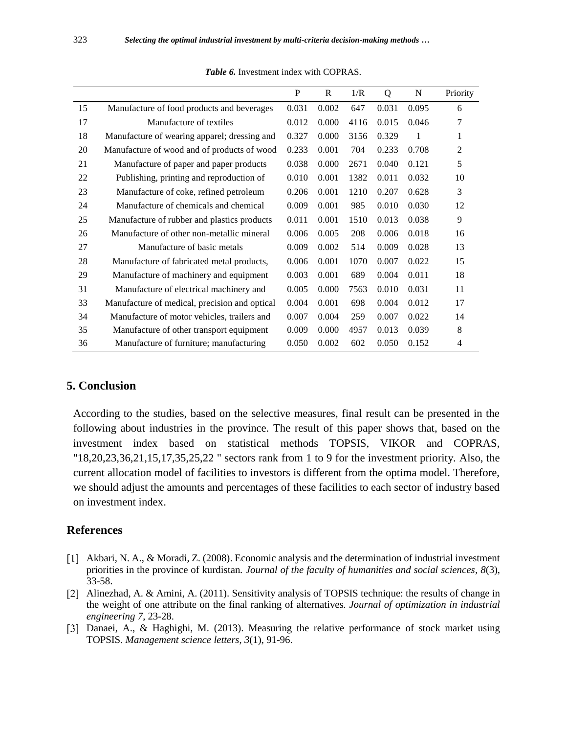|    |                                               | P     | $\mathbb{R}$ | 1/R  | Q     | N     | Priority |
|----|-----------------------------------------------|-------|--------------|------|-------|-------|----------|
| 15 | Manufacture of food products and beverages    | 0.031 | 0.002        | 647  | 0.031 | 0.095 | 6        |
| 17 | Manufacture of textiles                       | 0.012 | 0.000        | 4116 | 0.015 | 0.046 | 7        |
| 18 | Manufacture of wearing apparel; dressing and  | 0.327 | 0.000        | 3156 | 0.329 | 1     | 1        |
| 20 | Manufacture of wood and of products of wood   | 0.233 | 0.001        | 704  | 0.233 | 0.708 | 2        |
| 21 | Manufacture of paper and paper products       | 0.038 | 0.000        | 2671 | 0.040 | 0.121 | 5        |
| 22 | Publishing, printing and reproduction of      | 0.010 | 0.001        | 1382 | 0.011 | 0.032 | 10       |
| 23 | Manufacture of coke, refined petroleum        | 0.206 | 0.001        | 1210 | 0.207 | 0.628 | 3        |
| 24 | Manufacture of chemicals and chemical         | 0.009 | 0.001        | 985  | 0.010 | 0.030 | 12       |
| 25 | Manufacture of rubber and plastics products   | 0.011 | 0.001        | 1510 | 0.013 | 0.038 | 9        |
| 26 | Manufacture of other non-metallic mineral     | 0.006 | 0.005        | 208  | 0.006 | 0.018 | 16       |
| 27 | Manufacture of basic metals                   | 0.009 | 0.002        | 514  | 0.009 | 0.028 | 13       |
| 28 | Manufacture of fabricated metal products,     | 0.006 | 0.001        | 1070 | 0.007 | 0.022 | 15       |
| 29 | Manufacture of machinery and equipment        | 0.003 | 0.001        | 689  | 0.004 | 0.011 | 18       |
| 31 | Manufacture of electrical machinery and       | 0.005 | 0.000        | 7563 | 0.010 | 0.031 | 11       |
| 33 | Manufacture of medical, precision and optical | 0.004 | 0.001        | 698  | 0.004 | 0.012 | 17       |
| 34 | Manufacture of motor vehicles, trailers and   | 0.007 | 0.004        | 259  | 0.007 | 0.022 | 14       |
| 35 | Manufacture of other transport equipment      | 0.009 | 0.000        | 4957 | 0.013 | 0.039 | 8        |
| 36 | Manufacture of furniture; manufacturing       | 0.050 | 0.002        | 602  | 0.050 | 0.152 | 4        |

*Table 6.* Investment index with COPRAS.

# **5. Conclusion**

According to the studies, based on the selective measures, final result can be presented in the following about industries in the province. The result of this paper shows that, based on the investment index based on statistical methods TOPSIS, VIKOR and COPRAS, "18,20,23,36,21,15,17,35,25,22 " sectors rank from 1 to 9 for the investment priority. Also, the current allocation model of facilities to investors is different from the optima model. Therefore, we should adjust the amounts and percentages of these facilities to each sector of industry based on investment index.

# **References**

- [Akbari,](https://www.sid.ir/en/journal/SearchPaper.aspx?writer=23264) N. A., & [Moradi, Z.](https://www.sid.ir/en/journal/SearchPaper.aspx?writer=208647) (2008). Economic analysis and the determination of industrial investment priorities in the province of kurdistan*. [Journal of the faculty of humanities and social sciences,](https://www.sid.ir/en/journal/JournalList.aspx?ID=6314) 8*[\(3\),](https://www.sid.ir/en/journal/JournalListPaper.aspx?ID=61526) 33-58.
- Alinezhad, A. & Amini, A. (2011). Sensitivity analysis of TOPSIS technique: the results of change in the weight of one attribute on the final ranking of alternatives*. Journal of optimization in industrial engineering 7*, 23-28.
- Danaei, A., & Haghighi, M. (2013). Measuring the relative performance of stock market using TOPSIS. *Management science letters*, *3*(1), 91-96.